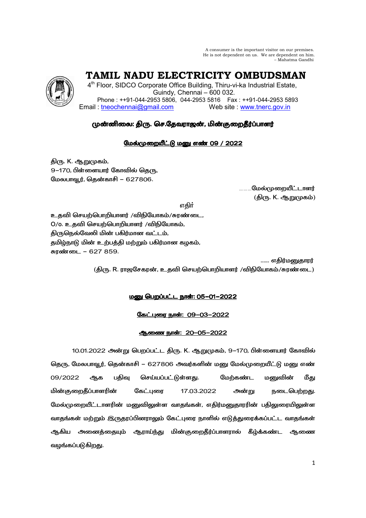A consumer is the important visitor on our premises. He is not dependent on us. We are dependent on him. – Mahatma Gandhi

 **TAMIL NADU ELECTRICITY OMBUDSMAN** 

4<sup>th</sup> Floor, SIDCO Corporate Office Building, Thiru-vi-ka Industrial Estate, Guindy, Chennai – 600 032. Phone : ++91-044-2953 5806, 044-2953 5816 Fax : ++91-044-2953 5893 Email : tneochennai@gmail.com Web site : www.tnerc.gov.in

# முன்னிலை: திரு. செ.தேவராஜன், மின்குறைதீர்ப்பாளர்

# மேல்முறையீட்டு மனு எண் 09 / 2022

திரு. K. ஆறுமுகம், 9-170, பிள்ளையார் கோவில் தெரு, மேலபாவூர், தென்காசி – 627806.

> <sub>………</sub>மேல்முறையீட்டாளர் (திரு. K. ஆறுமுகம்)

# ு பாட்டியான முறையில் குறியில் பாட்டியான <mark>எதிர்</mark> முறையில் பாட்டியான முறியில் பாட்டியான முறியில் பாட்டியான முறியி

உதவி செயற்பொறியாளர் /விநியோகம்/சுரண்டை,  $O$ / $o$ . உதவி செயற்பொறியாளர் /விநியோகம், திருநெல்வேலி மின் பகிர்மான வட்டம், தமிழ்நாடு மின் உற்பத்தி மற்றும் பகிர்மான கழகம், சுரண்டை – 627 859.

...... எகிர்மனுகாரர் (திரு. R. ராஜசேகரன், உதவி செயற்பொறியாளர் /விநியோகம்/சுரண்டை)

# <u> மனு பெறப்பட்ட நாள்: 05-01-2022</u>

# <u>கேட்புரை நாள்: 09-03-2022</u>

## <u>ஆணை நாள்: 20-05-2022</u>

10.01.2022 அன்று பெறப்பட்ட திரு. K. ஆறுமுகம், 9–170, பிள்ளையார் கோவில் தெரு, மேலபாவூர், தென்காசி – 627806 அவர்களின் மனு மேல்முறையீட்டு மனு எண் 09/2022 ஆக பதிவு செய்யப்பட்டுள்ளது. மேற்கண்ட மனுவின் மீது மின்குறைதீப்பாளரின் கேட்புரை 17.03.2022 அன்று நடைபெற்றது. மேல்முறையீட்டாளரின் மனுவிலுள்ள வாதங்கள், எதிர்மனுதாரரின் பதிலுரையிலுள்ள வாதங்கள் மற்றும் இருதரப்பினராலும் கேட்புரை நாளில் எடுத்துரைக்கப்பட்ட வாதங்கள் ஆகிய அனைத்தையும் ஆராய்ந்து மின்குறைதீர்ப்பாளரால் கீழ்க்கண்ட ஆணை வழங்கப்படுகிறது.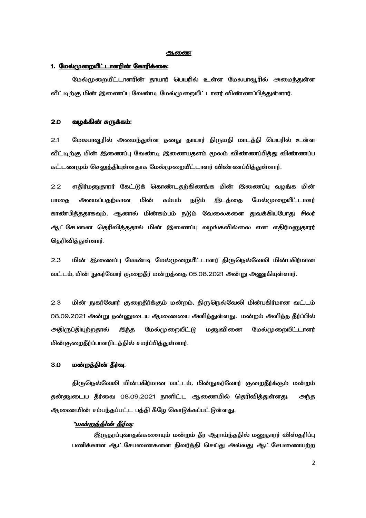#### ക്വതത്ത

### 1. <u>மேல்முறையீட்டாளரின் கோரிக்கை:</u>

மேல்முறையீட்டாளரின் தாயார் பெயரில் உள்ள மேலபாவூரில் அமைந்துள்ள வீட்டிற்கு மின் இணைப்பு வேண்டி மேல்முறையீட்டாளர் விண்ணப்பித்துள்ளார்.

#### 2.0 J[F- A [+, J[F- A [+,A [+,:

2.1 மேலபாவூரில் அமைந்துள்ள தனது தாயார் திருமதி மாடத்தி பெயரில் உள்ள வீட்டிற்கு மின் இணைப்பு வேண்டி இணையதளம் மூலம் விண்ணப்பித்து விண்ணப்ப கட்டணமும் செலுக்கியுள்ளகாக மேல்முறையீட்டாளர் விண்ணப்பிக்குள்ளார்.

2.2 எதிர்மனுதாரர் கேட்டுக் கொண்டதற்கிணங்க மின் இணைப்பு வழங்க மின் பாகை அமைப்பகற்கான மின் கம்பம் நடும் இடக்கை மேல்முறையீட்டாளர் காண்பித்ததாகவும், ஆனால் மின்கம்பம் நடும் வேலைகளை துவக்கியபோது சிலர் ஆட்சேபனை தெரிவித்ததால் மின் இணைப்பு வழங்கவில்லை என எதிர்மனுதாரர் தெரிவித்துள்ளார்.

2.3 மின் இணைப்பு வேண்டி மேல்முறையீட்டாளர் திருநெல்வேலி மின்பகிர்மான வட்டம், மின் நுகர்வோர் குறைதீர் மன்றத்தை 05.08.2021 அன்று அணுகியுள்ளார்.

2.3 மின் நுகர்வோர் குறைதீர்க்கும் மன்றம், திருநெல்வேலி மின்பகிர்மான வட்டம் 08.09.2021 அன்று தன்னுடைய ஆணையை அளித்துள்ளது. மன்றம் அளித்த தீர்ப்பில் அதிருப்தியுற்றதால் இந்த மேல்முறையீட்டு மனுவினை மேல்முறையீட்டாளர் மின்குறைதீர்ப்பாளரிடத்தில் சமர்ப்பித்துள்ளார்.

#### 3.0 - <u>மன்றத்தின் தீர்வு:</u>

திருநெல்வேலி மின்பகிர்மான வட்டம், மின்நுகர்வோர் குறைதீர்க்கும் மன்றம் தன்னுடைய தீர்வை 08.09.2021 நாளிட்ட ஆணையில் தெரிவித்துள்ளது. அந்த ஆணையின் சம்பந்தப்பட்ட பத்தி கீழே கொடுக்கப்பட்டுள்ளது.

### "<u>மன்றத்தின் தீர்வு</u>:

இருதரப்புவாதங்களையும் மன்றம் தீர ஆராய்ந்ததில் மனுதாரர் விஸ்தரிப்பு பணிக்கான ஆட்சேபணைகளை நிவர்த்தி செய்து அல்லது ஆட்சேபணையற்ற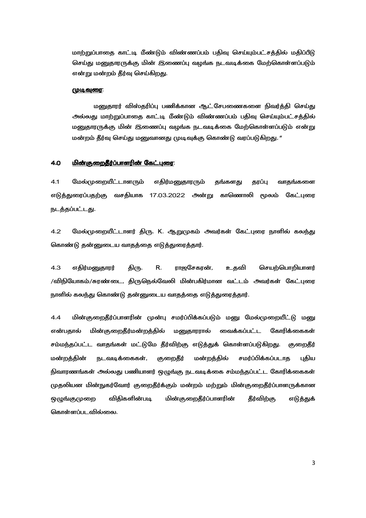மாற்றுப்பாதை காட்டி மீண்டும் விண்ணப்பம் பதிவு செய்யும்பட்சத்தில் மதிப்பீடு செய்து மனுதாரருக்கு மின் இணைப்பு வழங்க நடவடிக்கை மேற்கொள்ளப்படும் என்று மன்றம் தீர்வு செய்கிறது.

#### <u>முடிவுரை:</u>

மனுதாரர் விஸ்தரிப்பு பணிக்கான ஆட்சேபணைகளை நிவர்த்தி செய்து அல்லது மாற்றுப்பாதை காட்டி மீண்டும் விண்ணப்பம் பதிவு செய்யும்பட்சத்தில் மனுதாரருக்கு மின் இணைப்பு வழங்க நடவடிக்கை மேற்கொள்ளப்படும் என்று மன்றம் தீர்வு செய்து மனுவானது முடிவுக்கு கொண்டு வரப்படுகிறது. "

#### 4.0 -V- 
+M -V- 
+M:

4.1 மேல்முறையீட்டாளரும் எதிர்மனுதாரரும் தங்களது தரப்பு வாதங்களை எடுத்துரைப்பதற்கு வசதியாக 17.03.2022 அன்று காணொலி மூலம் கேட்புரை நடத்தப்பட்டது.

4.2 மேல்முறையீட்டாளர் திரு. K. ஆறுமுகம் அவர்கள் கேட்புரை நாளில் கலந்து கொண்டு தன்னுடைய வாதத்தை எடுத்துரைத்தார்.

4.3 எதிர்மனுதாரர் திரு. R. ராஜசேகரன், உதவி செயற்பொறியாளர் /விநியோகம்/சுரண்டை, திருநெல்வேலி மின்பகிர்மான வட்டம் அவர்கள் கேட்புரை நாளில் கலந்து கொண்டு தன்னுடைய வாதத்தை எடுத்துரைத்தார்.

 $\,$  4.4  $\,$  மின்குறைதீர்ப்பாளரின் முன்பு சமர்ப்பிக்கப்படும் மனு மேல்முறையீட்டு மனு என்பதால் மின் குறைதீர்மன்றத்தில் மனுதாரரால் வைக்கப்பட்ட கோரிக்கைகள் சம்மந்தப்பட்ட வாதங்கள் மட்டுமே தீர்விற்கு எடுத்துக் கொள்ளப்படுகிறது. குறைதீர் மன்றத்தின் நடவடிக்கைகள், குறைதீர் மன்றத்தில் சமர்ப்பிக்கப்படாத புதிய நிவாரணங்கள் அல்லது பணியாளர் ஒழுங்கு நடவடிக்கை சம்மந்தப்பட்ட கோரிக்கைகள் முதலியன மின்நுகர்வோர் குறைதீர்க்கும் மன்றம் மற்றும் மின்குறைதீர்ப்பாளருக்கான ஒழுங்குமுறை விதிகளின்படி படி மின்குறைதீர்ப்பாளரின் தீர்விற்கு எடுத்துக் கொள்ளப்படவில்லை.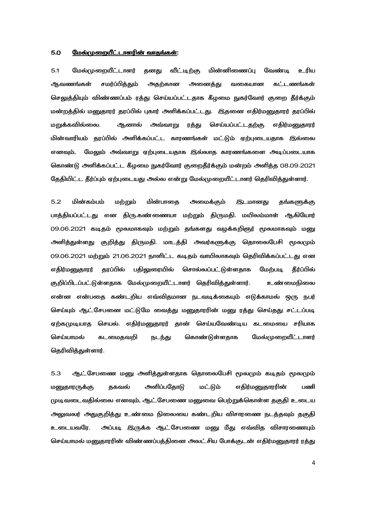#### <u>மேல்முறையீட்டாளரின் வாதங்கள்:</u> 5.0

 $5.1$ மேல்முறையீட்டாளர் தனது வீட்டிற்கு மின்னிணைப்பு வேண்டி உரிய சமர்ப்பித்தும் அதற்கான ஆவணங்கள் அனைத்து வகையான கட்டணங்கள் செலுத்தியும் விண்ணப்பம் ரத்து செய்யப்பட்டதாக கீழமை நுகர்வோர் குறை தீர்க்கும் மன்றத்தில் மனுதாரர் தரப்பில் புகார் அளிக்கப்பட்டது. இதனை எதிர்மனுதாரர் தரப்பில் மறுக்கவில்லை. ஆனால் அவ்வாறு ரத்து செய்யப்பட்டதற்கு எதிர்மனுதாரர் மின்வாரியம் தரப்பில் அளிக்கப்பட்ட காரணங்கள் மட்டும் ஏற்புடையதாக இல்லை எனவும், மேலும் அவ்வாறு ஏற்புடையதாக இல்லாத காரணங்களை அடிப்படையாக கொண்டு அளிக்கப்பட்ட கீமமை நுகர்வோர் குறைகீர்க்கும் மன்றம் அளிக்க 08.09.2021 தேதியிட்ட தீர்ப்பும் ஏற்புடையது அல்ல என்று மேல்முறையீட்டாளர் தெரிவித்துள்ளார்.

 $5.2$ மின்கம்பம் மற்றும் மின்பாகை அமைக்கும் இடமானது தங்களுக்கு பாத்தியப்பட்டது என திரு.கண்ணையா மற்றும் திருமதி. மயிலம்மாள் ஆகியோர் 09.06.2021 கடிதம் மூலமாகவும் மற்றும் தங்களது வழக்கறிஞர் மூலமாகவும் மனு அளித்துள்ளது குறித்து திருமதி. மாடத்தி அவர்களுக்கு தொலைபேசி மூலமும் 09.06.2021 மற்றும் 21.06.2021 நாளிட்ட கடிதம் வாயிலாகவும் தெரிவிக்கப்பட்டது என எதிர்மனுதாரர் தரப்பில் பதிலுரையில் சொல்லப்பட்டுள்ளதாக மேற்படி கீர்ப்பில் குறிப்பிடப்பட்டுள்ளதாக மேல்முறையீட்டாளர் தெரிவித்துள்ளார். உண்மைநிலை என்ன என்பதை கண்டறிய எவ்விதமான நடவடிக்கையும் எடுக்காமல் ஒரு நபர் செய்யும் ஆட்சேபனை மட்டுமே வைத்து மனுதாரரின் மனு ரத்து செய்தது சட்டப்படி ஏற்கமுடியாத செயல். எதிர்மனுதாரர் தான் செய்யவேண்டிய கடமையை சரியாக செய்யாமல் கடமைதவறி கொண்டுள்ளதாக மேல்முறையீட்டாளர் நடந்து தெரிவித்துள்ளார்.

ஆட் சேபணை மனு அளித்துள்ளதாக தொலைபேசி மூலமும் கடிதம் மூலமும் 5.3 அளிப்பதோடு மட்டும் மனுதாரருக்கு தகவல் எதிர்மனுதாரரின் பணி முடிவடைவதில்லை எனவும், ஆட்சேபணை மனுவை பெற்றுக்கொள்ள தகுதி உடைய அலுவலர் அதுகுறித்து உண்மை நிலையை கண்டறிய விசாரணை நடத்தவும் தகுதி அப்படி இருக்க ஆட்சேபணை மனு மீது எவ்வித விசாரணையும் உடையவரே. செய்யாமல் மனுதாரரின் விண்ணப்பத்தினை அலட்சிய போக்குடன் எதிர்மனுதாரர் ரத்து

 $\overline{4}$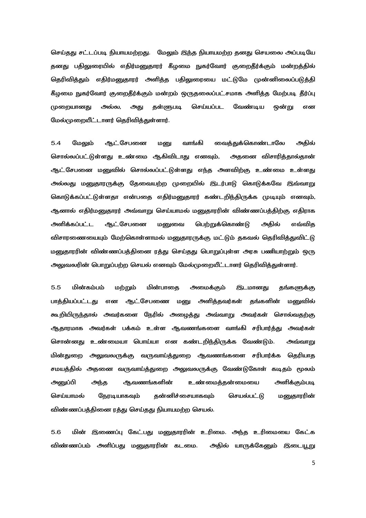செய்தது சட்டப்படி நியாயமற்றது. மேலும் இந்த நியாயமற்ற தனது செயலை அப்படியே தனது பதிலுரையில் எதிர்மனுதாரர் கீழமை நுகர்வோர் குறைதீர்க்கும் மன்றத்தில் தெரிவித்தும் எதிர்மனுதாரர் அளித்த பதிலுரையை மட்டுமே முன்னிலைப்படுத்தி கீழமை நுகர்வோர் குறைதீர்க்கும் மன்றம் ஒருதலைப்பட்சமாக அளித்த மேற்படி தீர்ப்பு அது தள்ளுபடி செய்யப்பட வேண்டிய முறையானது அல்ல, ஒன்று என மேல்முறையீட்டாளர் தெரிவித்துள்ளார்.

 $5.4$ ஆட்சேபனை மேலும் மனு வாங்கி வைத்துக்கொண்டாலே அதில் சொல்லப்பட்டுள்ளது உண்மை ஆகிவிடாது எனவும், அதனை விசாரித்தால்தான் ஆட்சேபனை மனுவில் சொல்லப்பட்டுள்ளது எந்த அளவிற்கு உண்மை உள்ளது அல்லது மனுதாரருக்கு தேவையற்ற முறையில் இடர்பாடு கொடுக்கவே இவ்வாறு கொடுக்கப்பட்டுள்ளதா என்பதை எதிர்மனுதாரர் கண்டறிந்திருக்க முடியும் எனவும், ஆனால் எதிர்மனுதாரர் அவ்வாறு செய்யாமல் மனுதாரரின் விண்ணப்பத்திற்கு எதிராக ஆட்சேபனை அளிக்கப்பட்ட மனுவை பெற்றுக்கொண்டு அகில் எவ்விக விசாரணையையும் மேற்கொள்ளாமல் மனுதாரருக்கு மட்டும் தகவல் தெரிவித்துவிட்டு மனுதாரரின் விண்ணப்பத்தினை ரத்து செய்தது பொறுப்புள்ள அரசு பணியாற்றும் ஒரு அலுவலரின் பொறுப்பற்ற செயல் எனவும் மேல்முறையீட்டாளர் தெரிவித்துள்ளார்.

 $5.5$ மின்கம்பம் மற்றும் மின்பாகை அமைக்கும் இடமானது தங்களுக்கு பாத்தியப்பட்டது என ஆட்சேபணை மனு அளித்தவர்கள் தங்களின் மனுவில் கூறியிருந்தால் அவர்களை நேரில் அழைத்து அவ்வாறு அவர்கள் சொல்வதற்கு ஆதாரமாக அவர்கள் பக்கம் உள்ள ஆவணங்களை வாங்கி சரிபார்த்து அவர்கள் சொன்னது உண்மையா பொய்யா என கண்டறிந்திருக்க வேண்டும். அவ்வாறு அலுவலருக்கு வருவாய்த்துறை ஆவணங்களை சரிபார்க்க மின்துறை தெரியாத சமயத்தில் அதனை வருவாய்த்துறை அலுவலருக்கு வேண்டுகோள் கடிதம் மூலம் அளிக்கும்படி அனுப்பி அந்த ஆவணங்களின் உண்மைத்தன்மையை செய்யாமல் நேரடியாகவும் தன்னிச்சையாகவும் செயல்பட்டு மனுதாரரின் விண்ணப்பத்தினை ரத்து செய்தது நியாயமற்ற செயல்.

5.6 மின் இணைப்பு கேட்பது மனுதாரரின் உரிமை. அந்த உரிமையை கேட்க விண்ணப்பம் அளிப்பது மனுதாரரின் கடமை. அதில் யாருக்கேனும் இடையூறு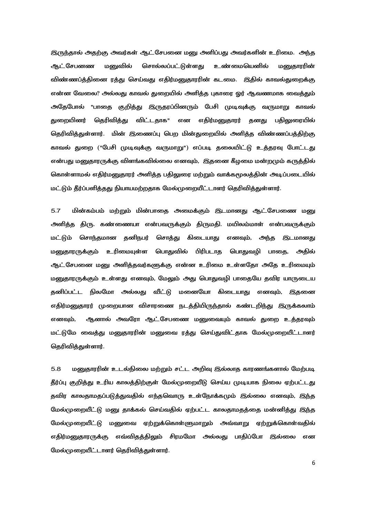இருந்தால் அதற்கு அவர்கள் ஆட்சேபனை மனு அளிப்பது அவர்களின் உரிமை. அந்த ஆட்சேபனண மனுவில் சொல்லப்பட்டுள்ளது உண்மையெனில் மனுகாரரின் விண்ணப்த்தினை ரத்து செய்வது எதிர்மனுதாரரின் கடமை. இதில் காவல்துறைக்கு என்ன வேலை? அல்லது காவல் துறையில் அளித்த புகாரை ஒர் ஆவணமாக வைத்தும் அதேபோல் "பாதை குறித்து இருதரப்பினரும் பேசி முடிவுக்கு வருமாறு காவல் துறையினர் தெரிவித்து விட்டதாக" என எதிர்மனுதாரர் தனது பதிலுரையில் தெரிவித்துள்ளார். மின் இணைப்பு பெற மின்துறையில் அளித்த விண்ணப்பத்திற்கு காவல் துறை ("பேசி முடிவுக்கு வருமாறு") எப்படி தலையிட்டு உத்தரவு போட்டது என்பது மனுதாரருக்கு விளங்கவில்லை எனவும், இதனை கீழமை மன்றமும் கருத்தில் கொள்ளாமல் எதிர்மனுதாரர் அளித்த பதிலுரை மற்றும் வாக்கமூலத்தின் அடிப்படையில் மட்டும் தீர்ப்பளித்தது நியாயமற்றதாக மேல்முறையீட்டாளர் தெரிவித்துள்ளார்.

 $5.7$ மின்கம்பம் மற்றும் மின்பாதை அமைக்கும் இடமானது ஆட்சேபணை மனு அளித்த திரு. கண்ணையா என்பவருக்கும் திருமதி. மயிலம்மாள் என்பவருக்கும் சொத்து கிடையாது எனவும், அந்த இடமானது மட்டும் சொந்தமான தனிநபர் மனுதாரருக்கும் உரிமையுள்ள பொதுவில் பிரிபடாத பொதுவழி பாதை, அதில் ஆட்சேபனை மனு அளித்தவர்களுக்கு என்ன உரிமை உள்ளதோ அதே உரிமையும் மனுதாரருக்கும் உள்ளது எனவும், மேலும் அது பொதுவழி பாதையே தவிர யாருடைய தனிப்பட்ட நிலமோ அல்லது வீட்டு மனையோ கிடையாது எனவும், இதனை எதிர்மனுதாரர் முறையான விசாரணை நடத்தியிருந்தால் கண்டறிந்து இருக்கலாம் ஆனால் அவரோ ஆட்சேபணை மனுவையும் காவல் துறை உத்தரவும் எனவும், மட்டுமே வைத்து மனுதாரரின் மனுவை ரத்து செய்துவிட்தாக மேல்முறையீட்டாளர் தெரிவித்துள்ளார்.

5.8 மனுகாரரின் உடல்நிலை மற்றும் சட்ட அறிவு இல்லாத காரணங்களால் மேற்படி தீர்ப்பு குறித்து உரிய காலத்திற்குள் மேல்முறையீடு செய்ய முடியாக நிலை ஏற்பட்டது தவிர காலதாமதப்படுத்துவதில் எந்தவொரு உள்நோக்கமும் இல்லை எனவும், இந்த மேல்முறையீட்டு மனு தாக்கல் செய்வதில் ஏற்பட்ட காலதாமதத்தை மன்னித்து இந்த மேல்முறையீட்டு மனுவை ஏற்றுக்கொள்ளுமாறும் அவ்வாறு ஏற்றுக்கொள்வதில் எதிர்மனுதாரருக்கு எவ்விதத்திலும் சிரமமோ அல்லது பாதிப்போ இல்லை என மேல்முறையீட்டாளர் தெரிவிக்குள்ளார்.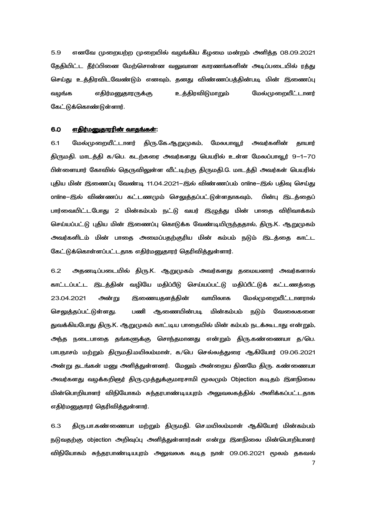எனவே முறையற்ற முறையில் வழங்கிய கீழமை மன்றம் அளித்த 08.09.2021  $5.9$ தேதியிட்ட தீர்ப்பினை மேற்சொன்ன வலுவான காரணங்களின் அடிப்படையில் ரத்து செய்து உத்திரவிடவேண்டும் எனவும், தனது விண்ணப்பத்தின்படி மின் இணைப்பு எதிர்மனுதாரருக்கு உத்திரவிடுமாறும் மேல்முறையீட்டாளர் வழங்க கேட்டுக்கொண்டுள்ளார்.

#### 6.0 எதிர்மனுதாரரின் வாதங்கள்:

திரு.கே.ஆறுமுகம், மேலபாவூர் 6.1 மேல்முறையீட்டாளர் அவர்களின் தாயார் திருமதி. மாடத்தி க/பெ. கடற்கரை அவர்களது பெயரில் உள்ள மேலப்பாவூர் 9–1–70 பிள்ளையார் கோவில் தெருவிலுள்ள வீட்டிற்கு திருமதி.G. மாடத்தி அவர்கள் பெயரில் புதிய மின் இணைப்பு வேண்டி 11.04.2021–இல் விண்ணப்பம் online–இல் பதிவு செய்து online–இல் விண்ணப்ப கட்டணமும் செலுத்தப்பட்டுள்ளதாகவும், பின்பு இடத்தைப் பார்வையிட்டபோது 2 மின்கம்பம் நட்டு வயர் இழுத்து மின் பாதை விரிவாக்கம் செய்யப்பட்டு புதிய மின் இணைப்பு கொடுக்க வேண்டியிருந்ததால், திரு.K. ஆறுமுகம் அவர்களிடம் மின் பாதை அமைப்பதற்குரிய மின் கம்பம் நடும் இடத்தை காட்ட கேட்டுக்கொள்ளப்பட்டதாக எதிர்மனுதாரர் தெரிவித்துள்ளார்.

அதனடிப்படையில் திரு.K. ஆறுமுகம் அவர்களது தமையனார் அவர்களால்  $6.2$ காட்டப்பட்ட இடத்தின் வழியே மதிப்பீடு செய்யப்பட்டு மதிப்பீட்டுக் கட்டணத்தை 23.04.2021 அன்று இணையதளத்தின் வாயிலாக மேல்முறையீட்டாளரால் ஆணையின்படி மின்கம்பம் செலுத்தப்பட்டுள்ளது. பணி நடும் வேலைகளை துவக்கியபோது திரு.K. ஆறுமுகம் காட்டிய பாதையில் மின் கம்பம் நடக்கூடாது என்றும், அந்த நடைபாதை தங்களுக்கு சொந்தமானது என்றும் திரு.கண்ணையா த/பெ. பாபநாசம் மற்றும் திருமதி.மயிலம்மாள், க/பெ செல்லத்துரை ஆகியோர் 09.06.2021 அன்று தடங்கள் மனு அளித்துள்ளனர். மேலும் அன்றைய தினமே திரு. கண்ணையா அவர்களது வழக்கறிஞர் திரு.முத்துக்குமாரசாமி மூலமும் Objection கடிதம் இளநிலை மின்பொறியாளர் விநியோகம் சுந்தரபாண்டியபுரம் அலுவலகத்தில் அளிக்கப்பட்டதாக எதிர்மனுதாரர் தெரிவித்துள்ளார்.

திரு.பா.கண்ணையா மற்றும் திருமதி. செ.மயிலம்மாள் ஆகியோர் மின்கம்பம் 6.3 நடுவதற்கு objection அறிவுப்பு அளித்துள்ளார்கள் என்று இளநிலை மின்பொறியாளர் விநியோகம் சுந்தரபாண்டியபுரம் அலுவலக கடித நாள் 09.06.2021 மூலம் தகவல்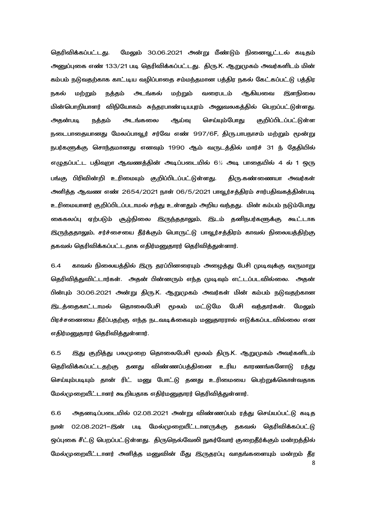தெரிவிக்கப்பட்டது. மேலும் 30.06.2021 அன்று மீண்டும் நினைவூட்டல் கடிதம் அனுப்புகை எண் 133/21 படி தெரிவிக்கப்பட்டது. திரு.K. ஆறுமுகம் அவர்களிடம் மின் கம்பம் நடுவதற்காக காட்டிய வழிப்பாதை சம்மந்தமான பத்திர நகல் கேட்கப்பட்டு பத்திர நகல் மற்றும் நத்தம் அடங்கல் மற்றும் வரைபடம் ஆகியவை இளநிலை மின்பொறியாளர் விநியோகம் சுந்தரபாண்டியபுரம் அலுவலகத்தில் பெறப்பட்டுள்ளது. அதன்படி நத்தம் அடங்கலை ஆய்வு செய்யும்போது குறிப்பிடப்பட்டுள்ள நடைபாதையானது மேலப்பாவூர் சர்வே எண் 997/6F, திரு.பாபநாசம் மற்றும் மூன்று நபர்களுக்கு சொந்தமானது எனவும் 1990 ஆம் வருடத்தில் மார்ச் 31 ந் தேதியில் எழுதப்பட்ட பதிவுறா ஆவணத்தின் அடிப்படையில் 6½ அடி பாதையில் 4 ல் 1 ஒரு பங்கு பிரிவின்றி உரிமையும் குறிப்பிடப்பட்டுள்ளது. திரு.கண்ணையா அவர்கள் அளித்த ஆவண எண் 2654/2021 நாள் 06/5/2021 பாவூர்சத்திரம் சார்பதிவகத்தின்படி உரிமையாளர் குறிப்பிடப்படாமல் சந்து உள்ளதும் அறிய வந்தது. மின் கம்பம் நடும்போது கைகலப்பு ஏற்படும் சூழ்நிலை இரு<u>ந்ததூலு</u>ம், இடம் தனிநபர்களுக்கு கூட்டாக இருந்ததாலும், சர்ச்சையை தீர்க்கும் பொருட்டு பாவூர்சக்திரம் காவல் நிலையத்திற்கு தகவல் தெரிவிக்கப்பட்டதாக எதிர்மனுதாரர் தெரிவித்துள்ளார்.

6.4 காவல் நிலையத்தில் இரு தரப்பினரையும் அழைத்து பேசி (முடிவுக்கு வருமாறு தெரிவித்துவிட்டார்கள். அதன் பின்னரும் எந்த முடிவும் எட்டப்படவில்லை. அதன் பின்பும் 30.06.2021 அன்று திரு.K. ஆறுமுகம் அவர்கள் மின் கம்பம் நடுவதற்கான இடத்தைகாட்டாமல் தொலைபேசி மூலம் மட்டுமே பேசி வந்தார்கள். மேலும் பிரச்சனையை தீர்ப்பதற்கு எந்த நடவடிக்கையும் மனுதாரரால் எடுக்கப்படவில்லை என எதிர்மனுதாரர் தெரிவித்துள்ளார்.

6.5 இது குறித்து பலமுறை தொலைபேசி மூலம் திரு.K. ஆறுமுகம் அவர்களிடம் தெரிவிக்கப்பட்டதற்கு தனது விண்ணப்பத்தினை உரிய காரணங்களோடு ரத்து செய்யும்படியும் தான் ரிட் மனு போட்டு தனது உரிமையை பெற்றுக்கொள்வதாக மேல்முறையீட்டாளர் கூறியதாக எதிர்மனுதாரர் தெரிவித்துள்ளார்.

8 6.6 அதனடிப்படையில் 02.08.2021 அன்று விண்ணப்பம் ரத்து செய்யப்பட்டு கடித நாள் 02.08.2021–இன் படி மேல்முறையீட்டாளருக்கு தகவல் தெரிவிக்கப்பட்டு ஒப்புகை சீட்டு பெறப்பட்டுள்ளது. திருநெல்வேலி நுகர்வோர் குறைதீர்க்கும் மன்றத்தில் மேல்முறையீட்டாளர் அளித்த மனுவின் மீது இருதரப்பு வாதங்களையும் மன்றம் தீர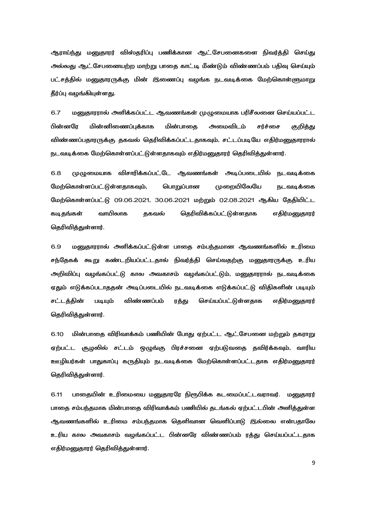ஆராய்ந்து மனுகாரர் விஸ்கரிப்பு பணிக்கான ஆட்.சேபனைகளை நிவர்த்தி செய்து அல்லது ஆட்சேபனையற்ற மாற்று பாதை காட்டி மீண்டும் விண்ணப்பம் பதிவு செய்யும் பட்சத்தில் மனுதாரருக்கு மின் இணைப்பு வழங்க நடவடிக்கை மேற்கொள்ளுமாறு தீர்ப்பு வழங்கியுள்ளது.

6.7 மனுதாரரால் அளிக்கப்பட்ட ஆவணங்கள் முழுமையாக பரிசீலனை செய்யப்பட்ட பின்னரே மின் மின்னிணைப்புக்காக மின்பாதை அமைவிடம் சர்ச்சை குறித்து விண்ணப்பதாரருக்கு தகவல் தெரிவிக்கப்பட்டதாகவும், சட்டப்படியே எதிர்மனுதாரால் நடவடிக்கை மேற்கொள்ளப்பட்டுள்ளகாகவம் எகிர்மளைகாரர் கெரிவிக்குள்ளார்.

6.8 முழுமையாக விசாரிக்கப்பட்டே ஆவணங்கள் அடிப்படையில் நடவடிக்கை மேற்கொள்ளப்பட்டுள்ளதாகவும், பொறுப்பான முறையிலேயே நடவடிக்கை மேற்கொள்ளப்பட்டு 09.06.2021, 30.06.2021 மற்றும் 02.08.2021 ஆகிய தேதியிட்ட கடிகங்கள் வாயிலாக ககவல் கெரிவிக்கப்பட்டுள்ளகாக எகிர்மலுகாரர் தெரிவித்துள்ளார்.

6.9 மனுதாரரால் அளிக்கப்பட்டுள்ள பாதை சம்பந்தமான ஆவணங்களில் உரிமை சந்தேகக் கூறு கண்டறியப்பட்டதால் நிவர்த்தி செய்வதற்கு மனுதாரருக்கு உரிய அறிவிப்பு வழங்கப்பட்டு கால அவகாசம் வழங்கப்பட்டும், மனுதாரரால் நடவடிக்கை ஏதும் எடுக்கப்படாததன் அடிப்படையில் நடவடிக்கை எடுக்கப்பட்டு விதிகளின் படியும் சட்டக்கின் படியும் விண்ணப்பம் ரத்து செய்யப்பட்டுள்ளதாக எதிர்மனுதாரர் தெரிவித்துள்ளார்.

6.10 மின்பாதை விரிவாக்கம் பணியின் போது ஏற்பட்ட ஆட்சேபனை மற்றும் தகராறு ஏற்பட்ட சூழலில் சட்டம் ஒழுங்கு பிரச்சனை ஏற்படுவதை தவிர்க்கவும், வாரிய ஊழியர்கள் பாதுகாப்பு கருதியும் நடவடிக்கை மேற்கொள்ளப்பட்டதாக எதிர்மனுதாரர் கெரிவிக்குள்ளார்.

6.11 பாதையின் உரிமையை மனுதாரரே நிரூபிக்க கடமைப்பட்டவராவர். மனுதாரர் பாதை சம்பந்தமாக மின்பாதை விரிவாக்கம் பணியில் தடங்கல் ஏற்பட்டபின் அளித்துள்ள ஆவணங்களில் உரிமை சம்பந்தமாக தெளிவான வெளிப்பாடு இல்லை என்பதாலே உரிய கால அவகாசம் வழங்கப்பட்ட பின்னரே விண்ணப்பம் ரத்து செய்யப்பட்டதாக எகிர்மனுகாரர் கெரிவிக்குள்ளார்.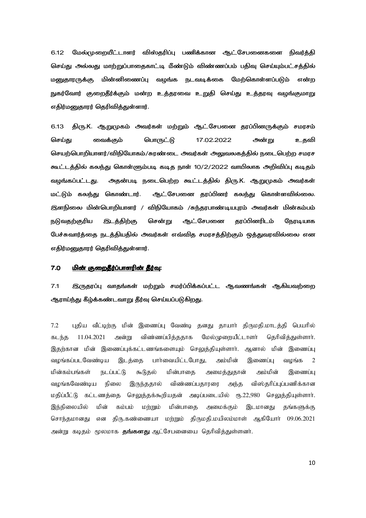மேல்முறையீட்டாளர் விஸ்தரிப்பு பணிக்கான ஆட்சேபனைகளை நிவர்த்தி  $6.12$ செய்து அல்லது மாற்றுப்பாதைகாட்டி மீண்டும் விண்ணப்பம் பதிவு செய்யும்பட்சத்தில் மனுகாரருக்கு மின்னிணைப்பு வழங்க நடவடிக்கை மேற்கொள்ளப்படும் என்ற நுகர்வோர் குறைதீர்க்கும் மன்ற உத்தரவை உறுதி செய்து உத்தரவு வழங்குமாறு எதிர்மனுதாரர் தெரிவித்துள்ளார்.

திரு.K. ஆறுமுகம் அவர்கள் மற்றும் ஆட்சேபனை தரப்பினருக்கும் சமரசம் 6.13 செய்து வைக்கும் பொருட்டு 17.02.2022 அன்று உதவி செயற்பொறியாளர்/விநியோகம்/சுரண்டை அவர்கள் அலுவலகத்தில் நடைபெற்ற சமரச கூட்டத்தில் கலந்து கொள்ளும்படி கடித நாள் 10/2/2022 வாயிலாக அறிவிப்பு கடிதம் அதன்படி நடைபெற்ற கூட்டத்தில் திரு.K. ஆறுமுகம் அவர்கள் வழங்கப்பட்டது. ஆட்சேபனை தரப்பினர் கலந்து கொள்ளவில்லை. மட்டும் கலந்து கொண்டார். இளநிலை மின்பொறியாளர் / விநியோகம் /சுந்தரபாண்டியபுரம் அவர்கள் மின்கம்பம் நடுவதற்குரிய <u>இடத்திற்கு</u> சென்று ஆட்சேபனை காப்பினரிடம் நோடியாக பேச்சுவார்த்தை நடத்தியதில் அவர்கள் எவ்வித சமரசத்திற்கும் ஒத்துவரவில்லை என எதிர்மனுதாரர் தெரிவித்துள்ளார்.

#### $7.0$ மின் குறைதீர்ப்பாளரின் தீர்வு:

 $7.1$ இருதரப்பு வாதங்கள் மற்றும் சமர்ப்பிக்கப்பட்ட ஆவணங்கள் ஆகியவற்றை ஆராய்ந்து கீழ்க்கண்டவாறு தீர்வு செய்யப்படுகிறது.

 $7.2$ புதிய வீட்டிற்கு மின் இணைப்பு வேண்டி தனது தாயார் திருமதி.மாடத்தி பெயரில் 11.04.2021 அன்று விண்ணப்பித்ததாக மேல்முறையீட்டாளர் தெரிவித்துள்ளார். கடந்த இதற்கான மின் இணைப்புக்கட்டணங்களையும் செலுத்தியுள்ளார். ஆனால் மின் இணைப்பு வழங்கப்படவேண்டிய இடத்தை பார்வையிட்டபோது, அம்மின்  $\overline{2}$ இணைப்பு வமங்க மின்கம்பங்கள் நடப்பட்டு கூடுதல் மின்பாதை அமைத்துதான் அம்மின் இணைப்பு வமங்கவேண்டிய நிலை விண்ணப்பதாரரை அந்த விஸ்தரிப்புப்பணிக்கான இருந்ததால் மதிப்பீட்டு கட்டணத்தை செலுத்தக்கூறியதன் அடிப்படையில் ரூ.22,980 செலுத்தியுள்ளாா். இந்நிலையில் மின் கம்பம் மற்றும் மின்பாதை அமைக்கும் இடமானது தங்களுக்கு சொந்தமானது என திரு.கண்ணையா மற்றும் திருமதி.மயிலம்மாள் ஆகியோா் 09.06.2021 அன்று கடிதம் மூலமாக **தங்களது** ஆட்சேபனையை தெரிவித்துள்ளனர்.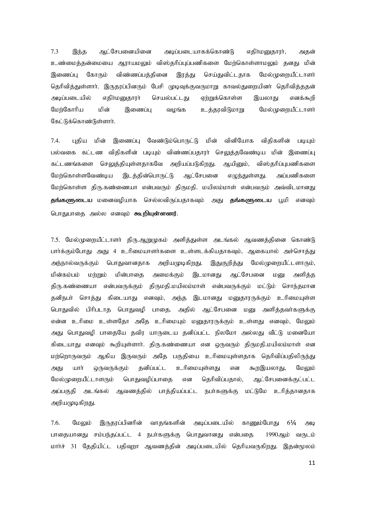7.3 இந்த அட்சேபனையினை அடிப்படையாகக்கொண்டு எதிர்மனுகாரா, அதன் உண்மைத்தன்மையை ஆராயமலும் விஸ்தரிப்புப்பணிகளை மேற்கொள்ளாமலும் தனது மின் இணைப்பு கோரும் விண்ணப்பத்தினை இரத்து செய்துவிட்டதாக மேல்முறையீட்டாளர் தெரிவித்துள்ளார். இருதரப்பினரும் பேசி முடிவுக்குவருமாறு காவல்துறையினர் தெரிவித்ததன் அடிப்படையில் எதிா்மனுதாரா் செயல்பட்டது ஏற்றுக்கொள்ள இயலாது எனக்கூறி மேற்கோரிய மின் இணைப்பு வழங்க உத்தரவிடுமாறு மேல்முறையீட்டாளர் கேட்டுக்கொண்டுள்ளார்.

7.4. புதிய மின் இணைப்பு வேண்டும்பொருட்டு மின் வினியோக விதிகளின் படியும் பல்வகை கட்டண விதிகளின் படியும் விண்ணப்பதாரா் செலுத்தவேண்டிய மின் இணைப்பு கட்டணங்களை செலுத்தியுள்ளதாகவே அறியப்படுகிறது. ஆயினும், விஸ்தரிப்புபணிகளை மேற்கொள்ளவேண்டிய இடத்தின்பொருட்டு ஆட்சேபனை எழுந்துள்ளது. அப்பணிகளை மேற்கொள்ள திரு.கண்ணையா என்பவரும் திருமதி. மயிலம்மாள் என்பவரும் அவ்விடமானது **தங்களுடைய** மனைவமியாக செல்லவிருப்பதாகவும் அது **தங்களுடைய** பூமி எனவும் பொகுபாகை அல்ல எனவம் **கூறியள்ளனர்.** 

7.5. மேல்முறையீட்டாளா் கிரு.ஆறுமுகம் அளிக்குள்ள அடங்கல் அவணக்கினை கொண்டு பார்க்கும்போது அது 4 உரிமையாளர்களை உள்ளடக்கியதாகவும், ஆகையால் அச்சொத்து அந்நால்வருக்கும் பொதுவானதாக அறியமுடிகிறது. இதுகுறித்து மேல்முறையீட்டளாரும், மின்கம்பம் மற்றும் மின்பாதை அமைக்கும் இடமானது ஆட்சேபனை மனு அளித்த திரு.கண்ணையா என்பவருக்கும் திருமதி.மயிலம்மாள் என்பவருக்கும் மட்டும் சொந்தமான தனிநபா் சொத்து கிடையாது எனவும், அந்த இடமானது மனுதாரருக்கும் உரிமையுள்ள பொதுவில் பிரிபடாத பொதுவழி பாதை. அதில் ஆட்சேபனை மனு அளித்தவா்களுக்கு என்ன உரிமை உள்ளதோ அதே உரிமையும் மனுதாரருக்கும் உள்ளது எனவும், மேலும் அது பொதுவழி பாதையே தவிர யாருடைய தனிப்பட்ட நிலமோ அல்லது வீட்டு மனையோ கிடையாது எனவும் கூறியுள்ளார். திரு.கண்ணையா என ஒருவரும் திருமதி.மயிலம்மாள் என மற்றொருவரும் ஆகிய இருவரும் அதே பகுதியை உரிமையுள்ளதாக தெரிவிப்பதிலிருந்து அது யாா் ஒருவருக்கும் தனிப்பட்ட உரிமையுள்ளது என கூறஇயலாது, மேலும் மேல்முறையீட்டாளரும் பொதுவழிப்பாதை என தெரிவிப்பதால், ஆட்சேபனைக்குட்பட்ட அப்பகுதி அடங்கல் ஆவணத்தில் பாத்தியப்பட்ட நபர்களுக்கு மட்டுமே உரித்தானதாக அறியமுடிகிறது.

 $7.6$ . மேலும் இருகரப்பினரின் வாகங்களின் அடிப்படையில் காணும்போது 6 $\frac{1}{4}$  அடி பாதையானது சம்பந்தப்பட்ட 4 நபாகளுக்கு பொதுவானது என்பதை 1990ஆம் வருடம் மார்ச் 31 தேதியிட்ட பதிவுறா ஆவணத்தின் அடிப்படையில் தெரியவருகிறது. இதன்மூலம்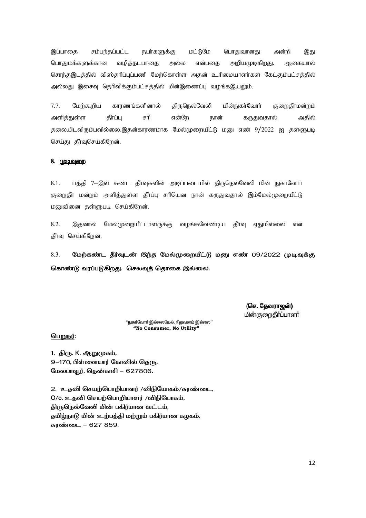மட்டுமே இப்பாகை சம்பந்தப்பட்ட நபர்களுக்கு பொதுவானது அன்றி இது பொதுமக்களுக்கான அறியமுடிகிறது. வழித்தடபாதை அல்ல என்பதை ஆகையால் சொந்தஇடத்தில் விஸ்தரிப்புப்பணி மேற்கொள்ள அதன் உரிமையாளர்கள் கேட்கும்பட்சத்தில் அல்லது இசைவு தெரிவிக்கும்பட்சத்தில் மின்இணைப்பு வழங்கஇயலும்.

 $7.7.$ திருநெல்வேலி மேர்கூரிய காரணங்களினால் மின்நுகா்வோா் குறைதீா்மன்றம் அளித்துள்ள தீர்ப்பு சரி என்றே நான் கருதுவதால் அதில் தலையிடவிரும்பவில்லை.இதன்காரணமாக மேல்முறையீட்டு மனு எண் 9/2022 ஐ தள்ளுபடி செய்து தீாவுசெய்கிறேன்.

### 8. முடிவுரை:

 $8.1.$ பத்தி 7—இல் கண்ட தீர்வுகளின் அடிப்படையில் திருநெல்வேலி மின் நுகர்வோர் குறைதீா மன்றம் அளித்துள்ள தீா்ப்பு சரியென நான் கருதுவதால் இம்மேல்முறையீட்டு மனுவினை தள்ளுபடி செய்கிறேன்.

8.2. மேல்முறையீட்டாளருக்கு வழங்கவேண்டிய தீா்வு இதனால் ஏதுமில்லை என தீாவு செய்கிறேன்.

8.3. மேற்கண்ட தீர்வுடன் இந்த மேல்முறையீட்டு மனு எண் 09/2022 முடிவுக்கு கொண்டு வரப்படுகிறது. செலவுத் தொகை இல்லை.

> (செ. தேவராஜன்) **மின்குறைதீர்ப்பாளர்**

''நுகா்வோா் இல்லையேல், நிறுவனம் இல்லை'' "No Consumer, No Utility"

பெறுநர்:

1. திரு. K. ஆறுமுகம், 9–170. பிள்ளையார் கோவில் கெரு. மேலபாவூர், தென்காசி – 627806.

2. உதவி செயற்பொறியாளர் /விநியோகம்/சுரண்டை, O/o. உதவி செயற்பொறியாளர் /விநியோகம், திருநெல்வேலி மின் பகிர்மான வட்டம், தமிழ்நாடு மின் உற்பத்தி மற்றும் பகிர்மான கழகம், சுரண்டை - 627 859.